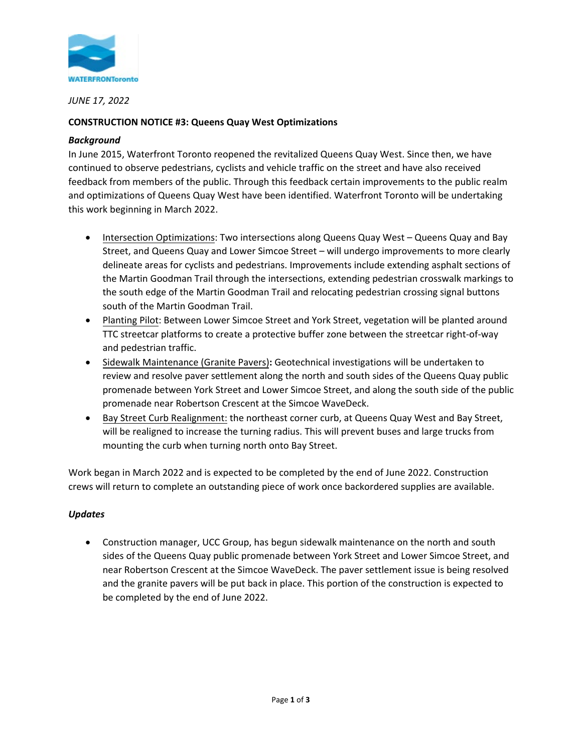

*JUNE 17, 2022*

# **CONSTRUCTION NOTICE #3: Queens Quay West Optimizations**

## *Background*

In June 2015, Waterfront Toronto reopened the revitalized Queens Quay West. Since then, we have continued to observe pedestrians, cyclists and vehicle traffic on the street and have also received feedback from members of the public. Through this feedback certain improvements to the public realm and optimizations of Queens Quay West have been identified. Waterfront Toronto will be undertaking this work beginning in March 2022.

- Intersection Optimizations: Two intersections along Queens Quay West Queens Quay and Bay Street, and Queens Quay and Lower Simcoe Street – will undergo improvements to more clearly delineate areas for cyclists and pedestrians. Improvements include extending asphalt sections of the Martin Goodman Trail through the intersections, extending pedestrian crosswalk markings to the south edge of the Martin Goodman Trail and relocating pedestrian crossing signal buttons south of the Martin Goodman Trail.
- Planting Pilot: Between Lower Simcoe Street and York Street, vegetation will be planted around TTC streetcar platforms to create a protective buffer zone between the streetcar right-of-way and pedestrian traffic.
- Sidewalk Maintenance (Granite Pavers)**:** Geotechnical investigations will be undertaken to review and resolve paver settlement along the north and south sides of the Queens Quay public promenade between York Street and Lower Simcoe Street, and along the south side of the public promenade near Robertson Crescent at the Simcoe WaveDeck.
- Bay Street Curb Realignment: the northeast corner curb, at Queens Quay West and Bay Street, will be realigned to increase the turning radius. This will prevent buses and large trucks from mounting the curb when turning north onto Bay Street.

Work began in March 2022 and is expected to be completed by the end of June 2022. Construction crews will return to complete an outstanding piece of work once backordered supplies are available.

# *Updates*

• Construction manager, UCC Group, has begun sidewalk maintenance on the north and south sides of the Queens Quay public promenade between York Street and Lower Simcoe Street, and near Robertson Crescent at the Simcoe WaveDeck. The paver settlement issue is being resolved and the granite pavers will be put back in place. This portion of the construction is expected to be completed by the end of June 2022.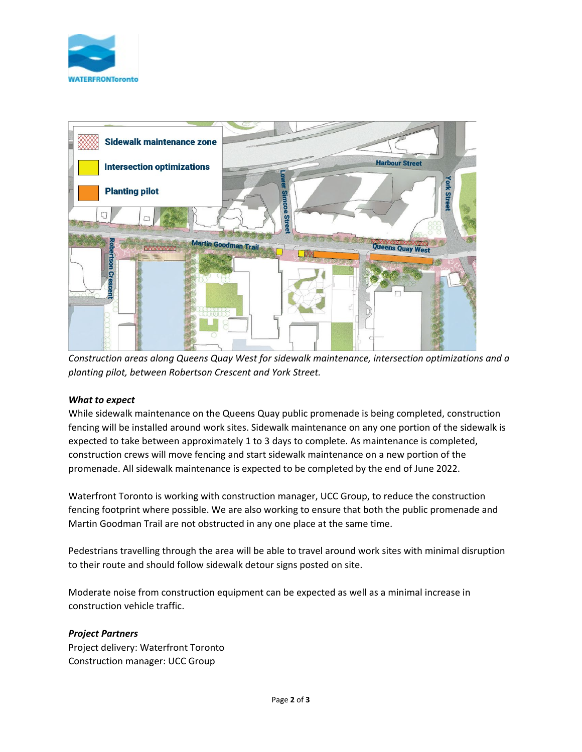



*Construction areas along Queens Quay West for sidewalk maintenance, intersection optimizations and a planting pilot, between Robertson Crescent and York Street.*

### *What to expect*

While sidewalk maintenance on the Queens Quay public promenade is being completed, construction fencing will be installed around work sites. Sidewalk maintenance on any one portion of the sidewalk is expected to take between approximately 1 to 3 days to complete. As maintenance is completed, construction crews will move fencing and start sidewalk maintenance on a new portion of the promenade. All sidewalk maintenance is expected to be completed by the end of June 2022.

Waterfront Toronto is working with construction manager, UCC Group, to reduce the construction fencing footprint where possible. We are also working to ensure that both the public promenade and Martin Goodman Trail are not obstructed in any one place at the same time.

Pedestrians travelling through the area will be able to travel around work sites with minimal disruption to their route and should follow sidewalk detour signs posted on site.

Moderate noise from construction equipment can be expected as well as a minimal increase in construction vehicle traffic.

### *Project Partners*

Project delivery: Waterfront Toronto Construction manager: UCC Group